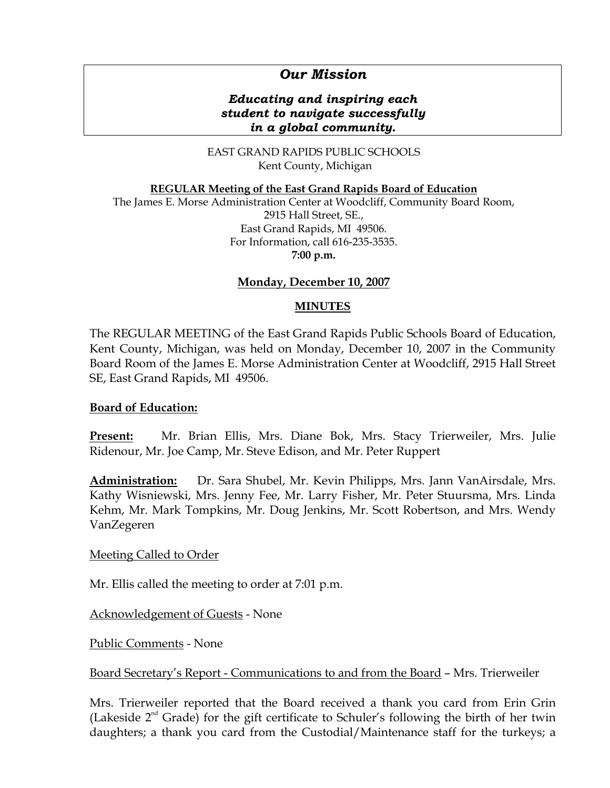# *Our Mission*

### *Educating and inspiring each student to navigate successfully in a global community.*

EAST GRAND RAPIDS PUBLIC SCHOOLS Kent County, Michigan

**REGULAR Meeting of the East Grand Rapids Board of Education**

The James E. Morse Administration Center at Woodcliff, Community Board Room, 2915 Hall Street, SE., East Grand Rapids, MI 49506. For Information, call 616-235-3535. **7:00 p.m.**

### **Monday, December 10, 2007**

### **MINUTES**

The REGULAR MEETING of the East Grand Rapids Public Schools Board of Education, Kent County, Michigan, was held on Monday, December 10, 2007 in the Community Board Room of the James E. Morse Administration Center at Woodcliff, 2915 Hall Street SE, East Grand Rapids, MI 49506.

#### **Board of Education:**

**Present:** Mr. Brian Ellis, Mrs. Diane Bok, Mrs. Stacy Trierweiler, Mrs. Julie Ridenour, Mr. Joe Camp, Mr. Steve Edison, and Mr. Peter Ruppert

**Administration:** Dr. Sara Shubel, Mr. Kevin Philipps, Mrs. Jann VanAirsdale, Mrs. Kathy Wisniewski, Mrs. Jenny Fee, Mr. Larry Fisher, Mr. Peter Stuursma, Mrs. Linda Kehm, Mr. Mark Tompkins, Mr. Doug Jenkins, Mr. Scott Robertson, and Mrs. Wendy VanZegeren

#### Meeting Called to Order

Mr. Ellis called the meeting to order at 7:01 p.m.

Acknowledgement of Guests - None

Public Comments - None

Board Secretary's Report - Communications to and from the Board – Mrs. Trierweiler

Mrs. Trierweiler reported that the Board received a thank you card from Erin Grin (Lakeside  $2<sup>nd</sup>$  Grade) for the gift certificate to Schuler's following the birth of her twin daughters; a thank you card from the Custodial/Maintenance staff for the turkeys; a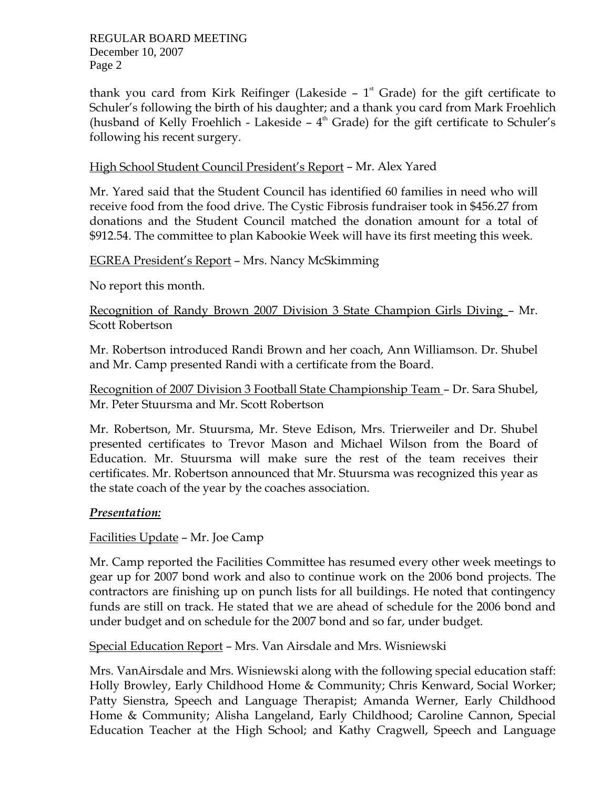thank you card from Kirk Reifinger (Lakeside  $-1$ <sup>st</sup> Grade) for the gift certificate to Schuler's following the birth of his daughter; and a thank you card from Mark Froehlich (husband of Kelly Froehlich - Lakeside  $-4<sup>th</sup>$  Grade) for the gift certificate to Schuler's following his recent surgery.

### High School Student Council President's Report – Mr. Alex Yared

Mr. Yared said that the Student Council has identified 60 families in need who will receive food from the food drive. The Cystic Fibrosis fundraiser took in \$456.27 from donations and the Student Council matched the donation amount for a total of \$912.54. The committee to plan Kabookie Week will have its first meeting this week.

### EGREA President's Report – Mrs. Nancy McSkimming

No report this month.

Recognition of Randy Brown 2007 Division 3 State Champion Girls Diving – Mr. Scott Robertson

Mr. Robertson introduced Randi Brown and her coach, Ann Williamson. Dr. Shubel and Mr. Camp presented Randi with a certificate from the Board.

Recognition of 2007 Division 3 Football State Championship Team – Dr. Sara Shubel, Mr. Peter Stuursma and Mr. Scott Robertson

Mr. Robertson, Mr. Stuursma, Mr. Steve Edison, Mrs. Trierweiler and Dr. Shubel presented certificates to Trevor Mason and Michael Wilson from the Board of Education. Mr. Stuursma will make sure the rest of the team receives their certificates. Mr. Robertson announced that Mr. Stuursma was recognized this year as the state coach of the year by the coaches association.

### *Presentation:*

Facilities Update – Mr. Joe Camp

Mr. Camp reported the Facilities Committee has resumed every other week meetings to gear up for 2007 bond work and also to continue work on the 2006 bond projects. The contractors are finishing up on punch lists for all buildings. He noted that contingency funds are still on track. He stated that we are ahead of schedule for the 2006 bond and under budget and on schedule for the 2007 bond and so far, under budget.

Special Education Report – Mrs. Van Airsdale and Mrs. Wisniewski

Mrs. VanAirsdale and Mrs. Wisniewski along with the following special education staff: Holly Browley, Early Childhood Home & Community; Chris Kenward, Social Worker; Patty Sienstra, Speech and Language Therapist; Amanda Werner, Early Childhood Home & Community; Alisha Langeland, Early Childhood; Caroline Cannon, Special Education Teacher at the High School; and Kathy Cragwell, Speech and Language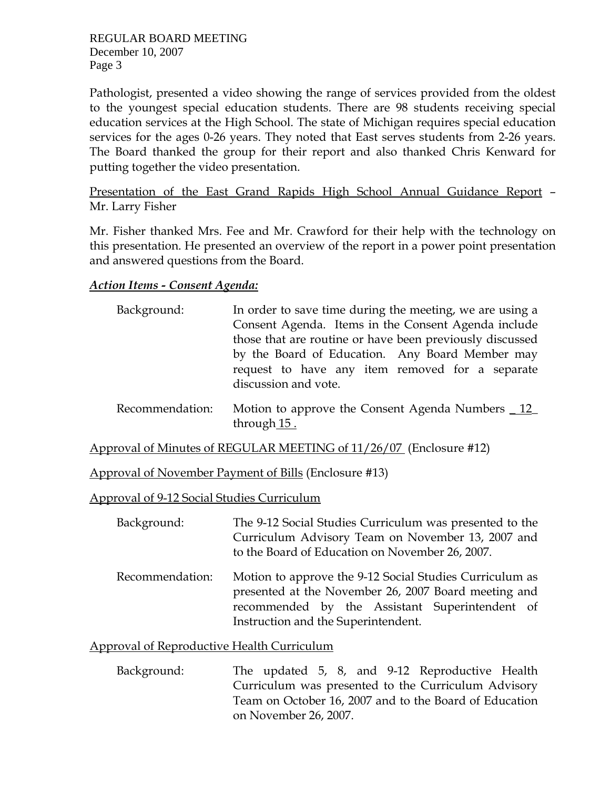Pathologist, presented a video showing the range of services provided from the oldest to the youngest special education students. There are 98 students receiving special education services at the High School. The state of Michigan requires special education services for the ages 0-26 years. They noted that East serves students from 2-26 years. The Board thanked the group for their report and also thanked Chris Kenward for putting together the video presentation.

Presentation of the East Grand Rapids High School Annual Guidance Report – Mr. Larry Fisher

Mr. Fisher thanked Mrs. Fee and Mr. Crawford for their help with the technology on this presentation. He presented an overview of the report in a power point presentation and answered questions from the Board.

# *Action Items - Consent Agenda:*

| Background: | In order to save time during the meeting, we are using a |
|-------------|----------------------------------------------------------|
|             | Consent Agenda. Items in the Consent Agenda include      |
|             | those that are routine or have been previously discussed |
|             | by the Board of Education. Any Board Member may          |
|             | request to have any item removed for a separate          |
|             | discussion and vote.                                     |

 Recommendation: Motion to approve the Consent Agenda Numbers \_ 12\_ through 15.

Approval of Minutes of REGULAR MEETING of 11/26/07 (Enclosure #12)

Approval of November Payment of Bills (Enclosure #13)

Approval of 9-12 Social Studies Curriculum

| Background: | The 9-12 Social Studies Curriculum was presented to the |
|-------------|---------------------------------------------------------|
|             | Curriculum Advisory Team on November 13, 2007 and       |
|             | to the Board of Education on November 26, 2007.         |

 Recommendation: Motion to approve the 9-12 Social Studies Curriculum as presented at the November 26, 2007 Board meeting and recommended by the Assistant Superintendent of Instruction and the Superintendent.

### Approval of Reproductive Health Curriculum

 Background: The updated 5, 8, and 9-12 Reproductive Health Curriculum was presented to the Curriculum Advisory Team on October 16, 2007 and to the Board of Education on November 26, 2007.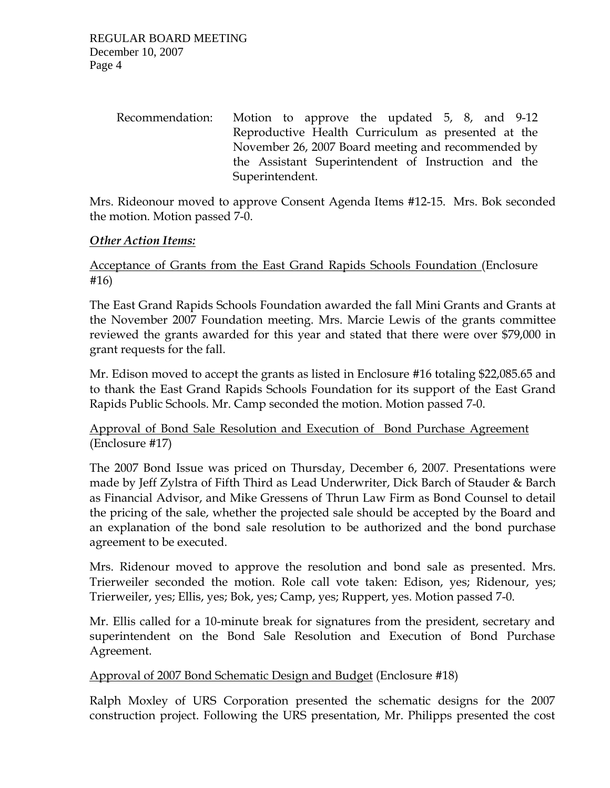| Recommendation: | Motion to approve the updated 5, 8, and 9-12        |
|-----------------|-----------------------------------------------------|
|                 | Reproductive Health Curriculum as presented at the  |
|                 | November 26, 2007 Board meeting and recommended by  |
|                 | the Assistant Superintendent of Instruction and the |
|                 | Superintendent.                                     |

Mrs. Rideonour moved to approve Consent Agenda Items #12-15. Mrs. Bok seconded the motion. Motion passed 7-0.

### *Other Action Items:*

# Acceptance of Grants from the East Grand Rapids Schools Foundation (Enclosure #16)

The East Grand Rapids Schools Foundation awarded the fall Mini Grants and Grants at the November 2007 Foundation meeting. Mrs. Marcie Lewis of the grants committee reviewed the grants awarded for this year and stated that there were over \$79,000 in grant requests for the fall.

Mr. Edison moved to accept the grants as listed in Enclosure #16 totaling \$22,085.65 and to thank the East Grand Rapids Schools Foundation for its support of the East Grand Rapids Public Schools. Mr. Camp seconded the motion. Motion passed 7-0.

# Approval of Bond Sale Resolution and Execution of Bond Purchase Agreement (Enclosure #17)

The 2007 Bond Issue was priced on Thursday, December 6, 2007. Presentations were made by Jeff Zylstra of Fifth Third as Lead Underwriter, Dick Barch of Stauder & Barch as Financial Advisor, and Mike Gressens of Thrun Law Firm as Bond Counsel to detail the pricing of the sale, whether the projected sale should be accepted by the Board and an explanation of the bond sale resolution to be authorized and the bond purchase agreement to be executed.

Mrs. Ridenour moved to approve the resolution and bond sale as presented. Mrs. Trierweiler seconded the motion. Role call vote taken: Edison, yes; Ridenour, yes; Trierweiler, yes; Ellis, yes; Bok, yes; Camp, yes; Ruppert, yes. Motion passed 7-0.

Mr. Ellis called for a 10-minute break for signatures from the president, secretary and superintendent on the Bond Sale Resolution and Execution of Bond Purchase Agreement.

Approval of 2007 Bond Schematic Design and Budget (Enclosure #18)

Ralph Moxley of URS Corporation presented the schematic designs for the 2007 construction project. Following the URS presentation, Mr. Philipps presented the cost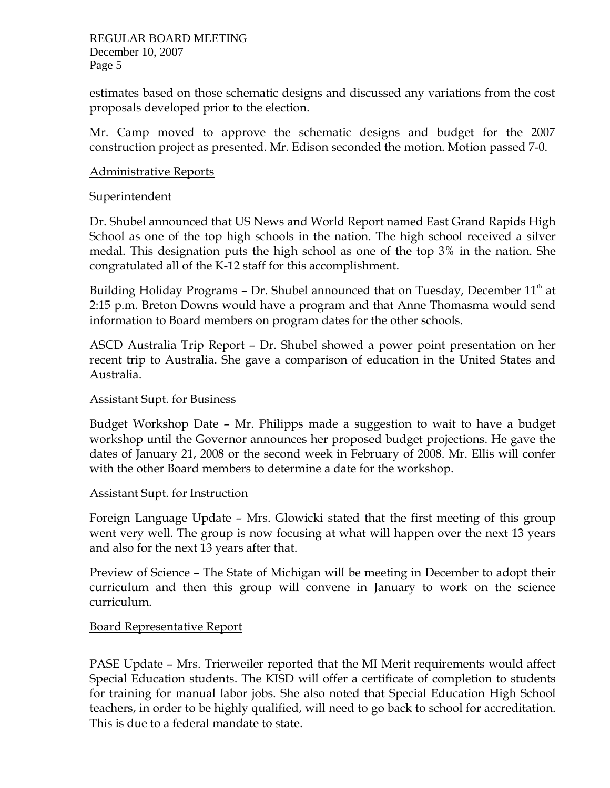estimates based on those schematic designs and discussed any variations from the cost proposals developed prior to the election.

Mr. Camp moved to approve the schematic designs and budget for the 2007 construction project as presented. Mr. Edison seconded the motion. Motion passed 7-0.

### Administrative Reports

#### **Superintendent**

Dr. Shubel announced that US News and World Report named East Grand Rapids High School as one of the top high schools in the nation. The high school received a silver medal. This designation puts the high school as one of the top 3% in the nation. She congratulated all of the K-12 staff for this accomplishment.

Building Holiday Programs - Dr. Shubel announced that on Tuesday, December  $11<sup>th</sup>$  at 2:15 p.m. Breton Downs would have a program and that Anne Thomasma would send information to Board members on program dates for the other schools.

ASCD Australia Trip Report – Dr. Shubel showed a power point presentation on her recent trip to Australia. She gave a comparison of education in the United States and Australia.

#### Assistant Supt. for Business

Budget Workshop Date – Mr. Philipps made a suggestion to wait to have a budget workshop until the Governor announces her proposed budget projections. He gave the dates of January 21, 2008 or the second week in February of 2008. Mr. Ellis will confer with the other Board members to determine a date for the workshop.

#### Assistant Supt. for Instruction

Foreign Language Update – Mrs. Glowicki stated that the first meeting of this group went very well. The group is now focusing at what will happen over the next 13 years and also for the next 13 years after that.

Preview of Science – The State of Michigan will be meeting in December to adopt their curriculum and then this group will convene in January to work on the science curriculum.

### Board Representative Report

PASE Update – Mrs. Trierweiler reported that the MI Merit requirements would affect Special Education students. The KISD will offer a certificate of completion to students for training for manual labor jobs. She also noted that Special Education High School teachers, in order to be highly qualified, will need to go back to school for accreditation. This is due to a federal mandate to state.